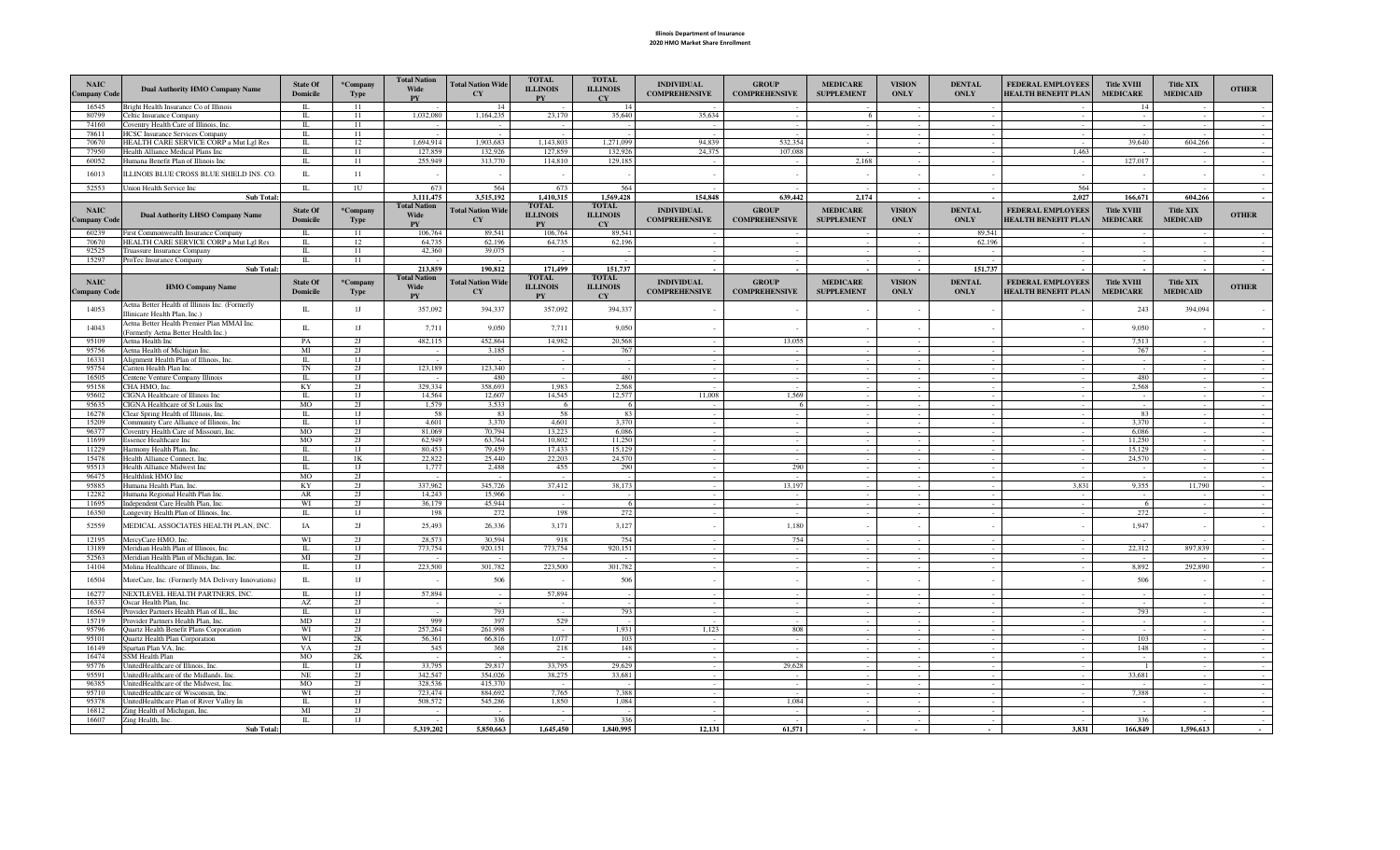## Illinois Department of Insurance 2020 HMO Market Share Enrollment

| <b>NAIC</b><br><b>Company Code</b> | <b>Dual Authority HMO Company Name</b>                                            | <b>State Of</b><br><b>Domicile</b> | *Company<br><b>Type</b> | <b>Total Nation</b><br>Wide<br><b>PY</b> | <b>Total Nation Wide</b><br><b>CY</b> | <b>TOTAL</b><br><b>ILLINOIS</b><br><b>PV</b> | <b>TOTAL</b><br><b>ILLINOIS</b><br>CY | <b>INDIVIDUAL</b><br><b>COMPREHENSIVE</b> | <b>GROUP</b><br><b>COMPREHENSIVE</b> | <b>MEDICARE</b><br><b>SUPPLEMENT</b> | <b>VISION</b><br><b>ONLY</b> | <b>DENTAL</b><br><b>ONLY</b> | FEDERAL EMPLOYEES<br><b>HEALTH BENEFIT PLAN</b> | <b>Title XVIII</b><br><b>MEDICARE</b> | <b>Title XIX</b><br><b>MEDICAID</b> | <b>OTHER</b>     |
|------------------------------------|-----------------------------------------------------------------------------------|------------------------------------|-------------------------|------------------------------------------|---------------------------------------|----------------------------------------------|---------------------------------------|-------------------------------------------|--------------------------------------|--------------------------------------|------------------------------|------------------------------|-------------------------------------------------|---------------------------------------|-------------------------------------|------------------|
| 16545                              | Bright Health Insurance Co of Illinois                                            | п                                  | 11                      |                                          | 14                                    |                                              | 14                                    |                                           |                                      |                                      |                              |                              |                                                 | 14                                    |                                     |                  |
| 80799                              | Celtic Insurance Company                                                          | L                                  | 11                      | 1,032,080                                | 1,164,235                             | 23,170                                       | 35,640                                | 35,634                                    |                                      | 6                                    |                              |                              |                                                 |                                       |                                     |                  |
| 74160<br>78611                     | Coventry Health Care of Illinois, Inc.<br><b>HCSC Insurance Services Company</b>  | L<br>L                             | 11<br>11                |                                          |                                       |                                              |                                       |                                           |                                      |                                      |                              |                              |                                                 |                                       |                                     |                  |
| 70670                              | HEALTH CARE SERVICE CORP a Mut Lgl Res                                            | L                                  | 12                      | 1,694,914                                | 1,903,683                             | 1,143,803                                    | 1,271,099                             | 94,839                                    | 532,354                              |                                      |                              |                              |                                                 | 39,640                                | 604,266                             |                  |
| 77950                              | Health Alliance Medical Plans Inc                                                 | L                                  | 11                      | 127,859                                  | 132,926                               | 127,859                                      | 132,926                               | 24,375                                    | 107,088                              |                                      |                              |                              | 1,463                                           |                                       |                                     |                  |
| 60052                              | Humana Benefit Plan of Illinois Inc                                               | L                                  | 11                      | 255,949                                  | 313,770                               | 114,810                                      | 129,185                               |                                           |                                      | 2,168                                |                              |                              |                                                 | 127,017                               |                                     |                  |
| 16013                              | ILLINOIS BLUE CROSS BLUE SHIELD INS. CO.                                          | $\mathbf{L}$                       | 11                      |                                          |                                       |                                              |                                       |                                           |                                      |                                      |                              |                              |                                                 |                                       | $\sim$                              |                  |
|                                    |                                                                                   |                                    |                         |                                          |                                       |                                              |                                       |                                           |                                      |                                      |                              |                              |                                                 |                                       |                                     |                  |
| 52553                              | Union Health Service Inc                                                          | L                                  | 1U                      | 673<br>3,111,475                         | 564<br>3,515,192                      | 673                                          | 564<br>1,569,428                      | 154,848                                   | 639,442                              | 2,174                                | $\sim$                       |                              | 564<br>2,027                                    | 166,671                               | 604,266                             |                  |
|                                    | <b>Sub Total:</b>                                                                 |                                    |                         | <b>Total Nation</b>                      |                                       | 1,410,315<br><b>TOTAL</b>                    | <b>TOTAL</b>                          |                                           |                                      |                                      |                              |                              |                                                 |                                       |                                     |                  |
| <b>NAIC</b>                        | <b>Dual Authority LHSO Company Name</b>                                           | State Of                           | *Company                | <b>Wide</b>                              | <b>Total Nation Wide</b>              | <b>ILLINOIS</b>                              | <b>ILLINOIS</b>                       | <b>INDIVIDUAL</b>                         | <b>GROUP</b>                         | <b>MEDICARE</b>                      | <b>VISION</b>                | <b>DENTAL</b>                | FEDERAL EMPLOYEES                               | <b>Title XVIII</b>                    | <b>Title XIX</b>                    | <b>OTHER</b>     |
| <b>Company Code</b>                |                                                                                   | <b>Domicile</b>                    | <b>Type</b>             | <b>PY</b>                                | CY                                    | <b>PY</b>                                    | <b>CY</b>                             | <b>COMPREHENSIVE</b>                      | <b>COMPREHENSIVE</b>                 | <b>SUPPLEMENT</b>                    | <b>ONLY</b>                  | <b>ONLY</b>                  | <b>HEALTH BENEFIT PLAN</b>                      | <b>MEDICARE</b>                       | <b>MEDICAID</b>                     |                  |
| 60239                              | First Commonwealth Insurance Company                                              | IL.                                | 11                      | 106,764                                  | 89,541                                | 106,764                                      | 89,541                                |                                           |                                      |                                      |                              | 89,541                       |                                                 |                                       |                                     |                  |
| 70670                              | HEALTH CARE SERVICE CORP a Mut Lgl Res                                            | L                                  | 12                      | 64,735                                   | 62,196                                | 64,735                                       | 62,196                                |                                           |                                      |                                      |                              | 62,196                       |                                                 |                                       |                                     |                  |
| 92525                              | Truassure Insurance Company                                                       | L<br>$\mathbf{u}$                  | -11                     | 42,360                                   | 39,075                                |                                              |                                       |                                           |                                      | $\sim$                               |                              |                              |                                                 |                                       |                                     |                  |
| 15297                              | ProTec Insurance Company<br>Sub Total:                                            |                                    | 11                      | 213,859                                  | 190,812                               | 171,499                                      | 151,737                               |                                           |                                      |                                      |                              | 151,737                      |                                                 |                                       |                                     |                  |
|                                    |                                                                                   |                                    |                         | <b>Total Nation</b>                      |                                       | <b>TOTAL</b>                                 | <b>TOTAL</b>                          |                                           |                                      |                                      |                              |                              |                                                 |                                       |                                     |                  |
| <b>NAIC</b>                        | <b>HMO Company Name</b>                                                           | <b>State Of</b>                    | *Company                | Wide                                     | <b>Total Nation Wide</b>              | <b>ILLINOIS</b>                              | <b>ILLINOIS</b>                       | <b>INDIVIDUAL</b>                         | <b>GROUP</b>                         | <b>MEDICARE</b>                      | <b>VISION</b>                | <b>DENTAL</b>                | <b>FEDERAL EMPLOYEES</b>                        | <b>Title XVIII</b>                    | <b>Title XIX</b>                    | <b>OTHER</b>     |
| <b>Company Code</b>                |                                                                                   | <b>Domicile</b>                    | <b>Type</b>             | PY                                       | CY                                    | ${\bf P}{\bf Y}$                             | <b>CY</b>                             | <b>COMPREHENSIVE</b>                      | <b>COMPREHENSIVE</b>                 | <b>SUPPLEMENT</b>                    | ONLY                         | <b>ONLY</b>                  | <b>HEALTH BENEFIT PLAN</b>                      | <b>MEDICARE</b>                       | <b>MEDICAID</b>                     |                  |
| 14053                              | Aetna Better Health of Illinois Inc. (Formerly<br>Illinicare Health Plan, Inc.)   | $\mathbbm{L}$                      | 1J                      | 357,092                                  | 394,337                               | 357,092                                      | 394,337                               |                                           |                                      |                                      |                              |                              |                                                 | 243                                   | 394,094                             |                  |
| 14043                              | Aetna Better Health Premier Plan MMAI Inc.<br>(Formerly Aetna Better Health Inc.) | $\;$ IL                            | 1J                      | 7,711                                    | 9,050                                 | 7,711                                        | 9,050                                 |                                           |                                      |                                      |                              |                              |                                                 | 9,050                                 |                                     |                  |
| 95109                              | Aetna Health Inc                                                                  | PA                                 | 2J                      | 482,115                                  | 452.864                               | 14,982                                       | 20,568                                |                                           | 13,055                               |                                      |                              |                              |                                                 | 7,513                                 |                                     |                  |
| 95756                              | Aetna Health of Michigan Inc.                                                     | MI                                 | 2J                      |                                          | 3,185                                 |                                              | 767                                   |                                           |                                      |                                      |                              |                              |                                                 | 767                                   |                                     |                  |
| 16331                              | Alignment Health Plan of Illinois, Inc.                                           | $\mathbb{L}$                       | 1J                      |                                          |                                       |                                              |                                       |                                           |                                      |                                      |                              |                              |                                                 |                                       |                                     |                  |
| 95754<br>16505                     | Cariten Health Plan Inc.<br>Centene Venture Company Illinois                      | TN<br>$\mathbb{L}$                 | 2J<br>1J                | 123,189                                  | 123,340<br>480                        |                                              | 480                                   |                                           |                                      |                                      |                              |                              |                                                 | 480                                   |                                     | $\sim$<br>$\sim$ |
| 95158                              | CHA HMO. Inc.                                                                     | KY                                 | 2J                      | 329,334                                  | 358,693                               | 1.983                                        | 2.568                                 |                                           | $\sim$                               | $\sim$                               |                              | $\sim$                       | $\sim$                                          | 2.568                                 | $\sim$                              | $\sim$           |
| 95602                              | CIGNA Healthcare of Illinois Inc                                                  | L                                  | 1J                      | 14,564                                   | 12,607                                | 14,545                                       | 12,577                                | 11,008                                    | 1,569                                | $\sim$                               |                              | $\sim$                       | $\sim$                                          |                                       | $\sim$                              | $\sim$           |
| 95635                              | CIGNA Healthcare of St Louis Inc                                                  | <b>MO</b>                          | 2J                      | 1,579                                    | 3,533                                 | -6                                           | - 6                                   |                                           | -6                                   | $\sim$                               |                              | $\sim$                       | $\sim$                                          | $\sim$                                | $\sim$                              | $\sim$           |
| 16278                              | Clear Spring Health of Illinois, Inc                                              | L                                  | 1J                      | 58                                       | 83                                    | 58                                           | 83                                    | $\sim$                                    | $\sim$                               | $\sim$                               |                              | $\sim$                       | $\sim$                                          | 83                                    | $\sim$                              | $\sim$           |
| 15209                              | Community Care Alliance of Illinois, Inc                                          | П.                                 | 1J                      | 4.601                                    | 3.370                                 | 4.601                                        | 3,370                                 | $\sim$                                    | $\sim$                               | $\sim$                               |                              | $\sim$                       | $\sim$                                          | 3.370                                 | $\sim$                              | $\sim$           |
| 96377<br>11699                     | Coventry Health Care of Missouri, Inc.                                            | MO<br>MO                           | 2J                      | 81,069                                   | 70,794<br>63,764                      | 13.223                                       | 6.086<br>11,250                       | $\sim$                                    | $\sim$                               | $\sim$                               | $\sim$                       | $\sim$                       | $\sim$                                          | 6.086<br>11.250                       | $\sim$                              | $\sim$           |
| 11229                              | <b>Essence Healthcare Inc</b><br>Harmony Health Plan, Inc.                        | L                                  | 2J<br>IJ                | 62,949<br>80,453                         | 79,459                                | 10,802<br>17,433                             | 15,129                                | $\sim$                                    | $\sim$<br>$\sim$                     |                                      |                              | $\sim$                       | $\sim$                                          | 15,129                                | $\sim$<br>$\sim$                    | $\sim$<br>$\sim$ |
| 15478                              | Health Alliance Connect, Inc.                                                     | $\mathbb{L}$                       | 1K                      | 22.822                                   | 25,440                                | 22,203                                       | 24,570                                |                                           |                                      |                                      |                              |                              |                                                 | 24,570                                |                                     |                  |
| 95513                              | Health Alliance Midwest Inc                                                       | $\Pi$ .                            | 1J                      | 1,777                                    | 2,488                                 | 455                                          | 290                                   |                                           | 290                                  |                                      |                              |                              |                                                 |                                       |                                     |                  |
| 96475                              | Healthlink HMO Inc                                                                | MO                                 | 2J                      |                                          |                                       |                                              |                                       |                                           |                                      |                                      |                              |                              |                                                 |                                       |                                     |                  |
| 95885                              | Humana Health Plan, Inc.                                                          | KY                                 | 2J                      | 337,962                                  | 345,726                               | 37.412                                       | 38.173                                |                                           | 13.197                               |                                      |                              |                              | 3.831                                           | 9.355                                 | 11.790                              |                  |
| 12282                              | Humana Regional Health Plan Inc.                                                  | AR                                 | 2J                      | 14.243                                   | 15,966                                |                                              |                                       |                                           |                                      |                                      |                              |                              |                                                 |                                       |                                     |                  |
| 11695<br>16350                     | Independent Care Health Plan, Inc.<br>Longevity Health Plan of Illinois, Inc.     | WI<br>$\mathbb{L}$                 | 2J<br>1J                | 36.179<br>198                            | 45.944<br>272                         | 198                                          | -6<br>272                             |                                           | $\sim$                               | $\sim$                               |                              | $\sim$                       |                                                 | -6<br>272                             | $\sim$                              |                  |
| 52559                              | MEDICAL ASSOCIATES HEALTH PLAN, INC.                                              | IA                                 | 2J                      | 25,493                                   | 26,336                                | 3,171                                        | 3,127                                 |                                           | 1,180                                |                                      |                              |                              |                                                 | 1,947                                 |                                     |                  |
| 12195                              | MercyCare HMO, Inc.                                                               | WI                                 | 2J                      | 28,573                                   | 30.594                                | 918                                          | 754                                   |                                           | 754                                  |                                      |                              |                              |                                                 |                                       |                                     |                  |
| 13189                              | Meridian Health Plan of Illinois, Inc.                                            | L                                  | 1J                      | 773,754                                  | 920,151                               | 773,754                                      | 920,151                               | $\sim$                                    | $\sim$                               |                                      |                              | $\sim$                       |                                                 | 22,312                                | 897,839                             |                  |
| 52563                              | Meridian Health Plan of Michigan, Inc.                                            | MI                                 | 2J                      |                                          |                                       |                                              |                                       | $\sim$                                    | $\sim$                               |                                      | $\sim$                       | $\sim 10^{-1}$               | $\sim$                                          |                                       |                                     |                  |
| 14104                              | Molina Healthcare of Illinois, Inc.                                               | L                                  | 1J                      | 223,500                                  | 301,782                               | 223,500                                      | 301,782                               | $\sim$                                    | $\sim$                               |                                      |                              | $\sim$                       |                                                 | 8,892                                 | 292,890                             |                  |
| 16504                              | MoreCare, Inc. (Formerly MA Delivery Innovations)                                 | $\mathbbm{L}$                      | 1J                      |                                          | 506                                   |                                              | 506                                   |                                           |                                      |                                      |                              |                              |                                                 | 506                                   |                                     |                  |
| 16277                              | NEXTLEVEL HEALTH PARTNERS, INC.                                                   | $\mathbb{L}$                       | 1J                      | 57,894                                   |                                       | 57,894                                       |                                       |                                           |                                      |                                      |                              |                              |                                                 |                                       |                                     |                  |
| 16337                              | Oscar Health Plan, Inc.                                                           | AZ                                 | 2J                      |                                          |                                       |                                              |                                       |                                           |                                      |                                      |                              |                              |                                                 |                                       | $\sim$                              |                  |
| 16564<br>15719                     | Provider Partners Health Plan of IL. Inc.<br>Provider Partners Health Plan. Inc.  | $\mathbb{L}$<br>MD                 | 1J<br>2J                | 999                                      | 793<br>397                            | 529                                          | 793                                   |                                           | $\sim$                               |                                      |                              |                              |                                                 | 793<br>$\sim$                         | $\sim$<br>$\sim$                    | $\sim$           |
| 95796                              | Quartz Health Benefit Plans Corporation                                           | WI                                 | 2J                      | 257,264                                  | 261.998                               | $\sim$                                       | 1.931                                 | 1,123                                     | 808                                  |                                      |                              | $\sim$                       | $\sim$                                          | $\sim$                                | $\sim$                              | $\sim$           |
| 95101                              | Quartz Health Plan Corporation                                                    | WI                                 | 2K                      | 56.361                                   | 66,816                                | 1.077                                        | 103                                   | $\sim$                                    | $\sim$                               |                                      |                              | $\sim$                       | $\sim$                                          | 103                                   | $\sim$                              | $\sim$           |
| 16149                              | Spartan Plan VA, Inc.                                                             | VA                                 | 2J                      | 545                                      | 368                                   | 218                                          | 148                                   | $\sim$                                    | $\sim$                               |                                      |                              |                              | $\sim$                                          | 148                                   | $\sim$                              | $\sim$           |
| 16474                              | <b>SSM Health Plan</b>                                                            | MO                                 | 2K                      |                                          |                                       |                                              |                                       | $\sim$                                    |                                      |                                      |                              | $\sim$                       | $\sim$                                          |                                       | $\sim$                              | $\sim$           |
| 95776                              | UnitedHealthcare of Illinois, Inc.                                                | П.                                 | 1J                      | 33,795                                   | 29,817                                | 33,795                                       | 29,629                                |                                           | 29,628                               |                                      |                              |                              |                                                 | $\blacksquare$                        |                                     | $\sim$           |
| 95591                              | UnitedHealthcare of the Midlands, Inc.                                            | <b>NE</b>                          | 2J                      | 342,547                                  | 354,026                               | 38,275                                       | 33,681                                | $\sim$                                    |                                      |                                      |                              |                              |                                                 | 33,681                                | $\sim$                              |                  |
| 96385<br>95710                     | UnitedHealthcare of the Midwest, Inc.<br>UnitedHealthcare of Wisconsin, Inc.      | MO<br>WI                           | 2J<br>2J                | 328,536<br>723,474                       | 415,370<br>884,692                    | $\sim$<br>7,765                              | 7,388                                 | $\sim$                                    | $\sim$                               | $\sim$                               |                              | $\sim$                       | $\sim$                                          | 7,388                                 | $\sim$                              | $\sim$<br>$\sim$ |
| 95378                              | UnitedHealthcare Plan of River Valley In                                          | П.                                 | 1J                      | 508,572                                  | 545,286                               | 1,850                                        | 1,084                                 |                                           | 1,084                                |                                      |                              |                              |                                                 |                                       |                                     |                  |
| 16812                              | Zing Health of Michigan, Inc.                                                     | MI                                 | 2J                      |                                          |                                       |                                              |                                       |                                           |                                      |                                      |                              |                              |                                                 |                                       |                                     |                  |
| 16607                              | Zing Health, Inc.                                                                 | $\mathbbm{L}$                      | 1J                      |                                          | 336                                   |                                              | 336                                   |                                           |                                      |                                      |                              |                              |                                                 | 336                                   |                                     |                  |
|                                    | <b>Sub Total:</b>                                                                 |                                    |                         | 5,319,202                                | 5.850.663                             | 1,645,450                                    | 1,840,995                             | 12.131                                    | 61.571                               | $\sim$                               | $\sim$                       | $\sim$                       | 3.831                                           | 166,849                               | 1.596.613                           | $\sim$ 10 $\pm$  |